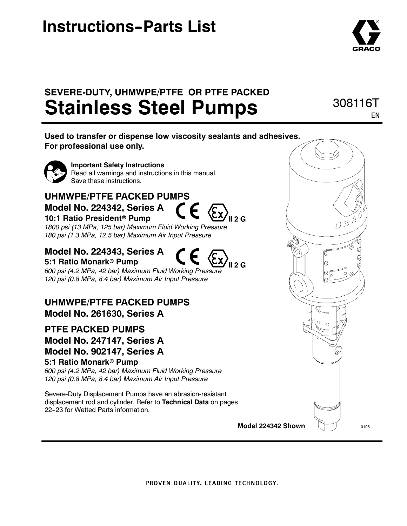# **Instructions-Parts List**



308116T

EN

## **SEVERE-DUTY, UHMWPE/PTFE OR PTFE PACKED Stainless Steel Pumps**

**Used to transfer or dispense low viscosity sealants and adhesives. For professional use only.**



**Important Safety Instructions** Read all warnings and instructions in this manual. Save these instructions.

## **UHMWPE/PTFE PACKED PUMPS Model No. 224342, Series A 10:1 Ratio President<sup>®</sup> Pump**



*1800 psi (13 MPa, 125 bar) Maximum Fluid Working Pressure 180 psi (1.3 MPa, 12.5 bar) Maximum Air Input Pressure*

### **Model No. 224343, Series A 5:1 Ratio Monark<sup>®</sup> Pump**

*600 psi (4.2 MPa, 42 bar) Maximum Fluid Working Pressure 120 psi (0.8 MPa, 8.4 bar) Maximum Air Input Pressure*

**UHMWPE/PTFE PACKED PUMPS Model No. 261630, Series A**

### **PTFE PACKED PUMPS Model No. 247147, Series A Model No. 902147, Series A 5:1 Ratio Monark<sup>®</sup> Pump**

*600 psi (4.2 MPa, 42 bar) Maximum Fluid Working Pressure 120 psi (0.8 MPa, 8.4 bar) Maximum Air Input Pressure*

Severe-Duty Displacement Pumps have an abrasion-resistant displacement rod and cylinder. Refer to **Technical Data** on pages 22-23 for Wetted Parts information.

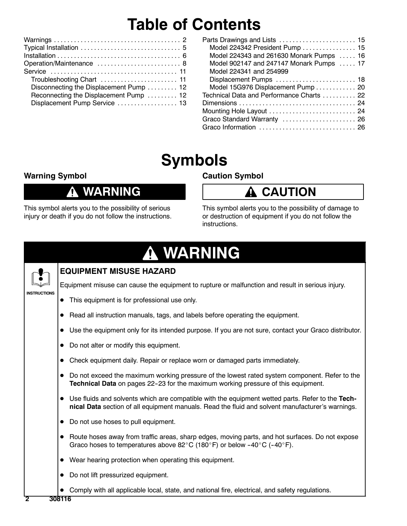# **Table of Contents**

| Operation/Maintenance  8               |
|----------------------------------------|
|                                        |
|                                        |
| Disconnecting the Displacement Pump 12 |
| Reconnecting the Displacement Pump  12 |
| Displacement Pump Service  13          |
|                                        |

| Parts Drawings and Lists  15              |
|-------------------------------------------|
| Model 224342 President Pump  15           |
| Model 224343 and 261630 Monark Pumps  16  |
| Model 902147 and 247147 Monark Pumps  17  |
| Model 224341 and 254999                   |
| Displacement Pumps  18                    |
| Model 15G976 Displacement Pump  20        |
| Technical Data and Performance Charts  22 |
|                                           |
| Mounting Hole Layout  24                  |
| Graco Standard Warranty  26               |
|                                           |

# **Symbols**

### **Warning Symbol**

## **WARNING**

This symbol alerts you to the possibility of serious injury or death if you do not follow the instructions.

## **Caution Symbol**



This symbol alerts you to the possibility of damage to or destruction of equipment if you do not follow the instructions.

### **WARNING Q**



### **EQUIPMENT MISUSE HAZARD**

**INSTRUCTIONS**

- This equipment is for professional use only.
- Read all instruction manuals, tags, and labels before operating the equipment.
- Use the equipment only for its intended purpose. If you are not sure, contact your Graco distributor.

Equipment misuse can cause the equipment to rupture or malfunction and result in serious injury.

- Do not alter or modify this equipment.
- Check equipment daily. Repair or replace worn or damaged parts immediately.
- Do not exceed the maximum working pressure of the lowest rated system component. Refer to the **Technical Data** on pages 22-23 for the maximum working pressure of this equipment.
- Use fluids and solvents which are compatible with the equipment wetted parts. Refer to the Tech**nical Data** section of all equipment manuals. Read the fluid and solvent manufacturer's warnings.
- Do not use hoses to pull equipment.
- Route hoses away from traffic areas, sharp edges, moving parts, and hot surfaces. Do not expose Graco hoses to temperatures above 82 $^{\circ}$ C (180 $^{\circ}$ F) or below -40 $^{\circ}$ C (-40 $^{\circ}$ F).
- $\bullet$  Wear hearing protection when operating this equipment.
- Do not lift pressurized equipment.
- Comply with all applicable local, state, and national fire, electrical, and safety regulations.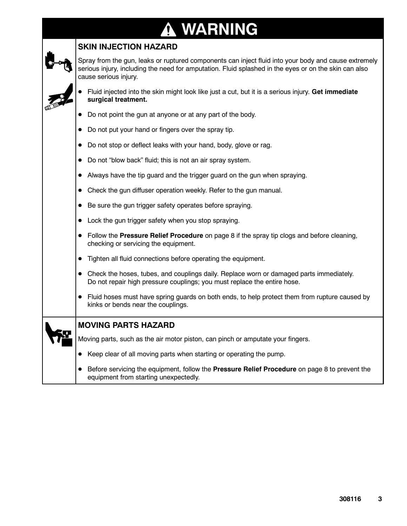### **WARNING ↑**

### **SKIN INJECTION HAZARD**

Spray from the gun, leaks or ruptured components can inject fluid into your body and cause extremely serious injury, including the need for amputation. Fluid splashed in the eyes or on the skin can also cause serious injury.

- D Fluid injected into the skin might look like just a cut, but it is a serious injury. **Get immediate surgical treatment.**
- Do not point the gun at anyone or at any part of the body.
- Do not put your hand or fingers over the spray tip.
- Do not stop or deflect leaks with your hand, body, glove or rag.
- Do not "blow back" fluid; this is not an air spray system.
- Always have the tip guard and the trigger guard on the gun when spraying.
- Check the gun diffuser operation weekly. Refer to the gun manual.
- Be sure the gun trigger safety operates before spraying.
- $\bullet$  Lock the gun trigger safety when you stop spraying.
- Follow the **Pressure Relief Procedure** on page 8 if the spray tip clogs and before cleaning, checking or servicing the equipment.
- **•** Tighten all fluid connections before operating the equipment.
- Check the hoses, tubes, and couplings daily. Replace worn or damaged parts immediately. Do not repair high pressure couplings; you must replace the entire hose.
- Fluid hoses must have spring guards on both ends, to help protect them from rupture caused by kinks or bends near the couplings.

| МO  |  |
|-----|--|
| Mov |  |
|     |  |

### **MOVING PARTS HAZARD**

ing parts, such as the air motor piston, can pinch or amputate your fingers.

- Keep clear of all moving parts when starting or operating the pump.
- **•** Before servicing the equipment, follow the **Pressure Relief Procedure** on page 8 to prevent the equipment from starting unexpectedly.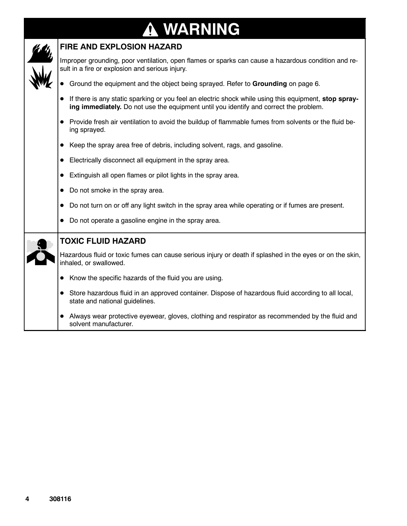### **WARNING** 7



### **FIRE AND EXPLOSION HAZARD**

Improper grounding, poor ventilation, open flames or sparks can cause a hazardous condition and result in a fire or explosion and serious injury.

- **•** Ground the equipment and the object being sprayed. Refer to Grounding on page 6.
- If there is any static sparking or you feel an electric shock while using this equipment, stop spray**ing immediately.** Do not use the equipment until you identify and correct the problem.
- Provide fresh air ventilation to avoid the buildup of flammable fumes from solvents or the fluid being sprayed.
- Keep the spray area free of debris, including solvent, rags, and gasoline.
- **•** Electrically disconnect all equipment in the spray area.
- Extinguish all open flames or pilot lights in the spray area.
- Do not smoke in the spray area.

solvent manufacturer.

Do not turn on or off any light switch in the spray area while operating or if fumes are present.

|  | <u>DUTION MITTON ON MITTO IN MITTO SWINGHT IN MITC SPIRY MISCO WITHO OPORAING ON IN RUINGS MIC PROSCING</u>                          |
|--|--------------------------------------------------------------------------------------------------------------------------------------|
|  | Do not operate a gasoline engine in the spray area.                                                                                  |
|  | <b>TOXIC FLUID HAZARD</b>                                                                                                            |
|  | Hazardous fluid or toxic fumes can cause serious injury or death if splashed in the eyes or on the skin,<br>inhaled, or swallowed.   |
|  | Know the specific hazards of the fluid you are using.                                                                                |
|  | Store hazardous fluid in an approved container. Dispose of hazardous fluid according to all local,<br>state and national guidelines. |
|  | Always wear protective eyewear, gloves, clothing and respirator as recommended by the fluid and                                      |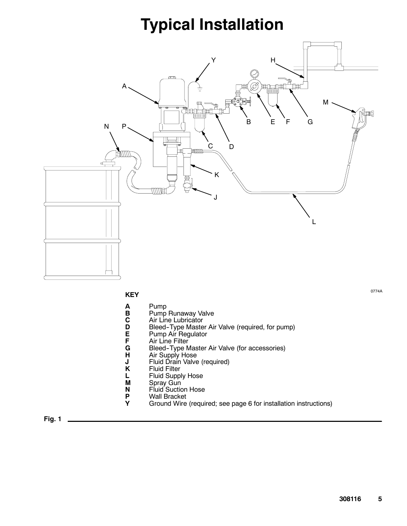# **Typical Installation**



**KEY**

- 
- **A** Pump
- **C** Air Line Lubricator
- **B** Pump Runaway Valve<br> **C** Air Line Lubricator<br> **D** Bleed-Type Master Ai **D** Bleed-Type Master Air Valve (required, for pump)<br> **E** Pump Air Regulator<br> **G** Bleed-Type Master Air Valve (for accessories)
- **E** Pump Air Regulator
- Air Line Filter
- **G** Bleed-Type Master Air Valve (for accessories)<br>**H** Air Supply Hose
- **H** Air Supply Hose<br>**J** Fluid Drain Valve
- **J** Fluid Drain Valve (required)<br>**K** Fluid Filter
- **K** Fluid Filter<br>**L** Fluid Supp
- **L** Fluid Supply Hose<br>**M** Spray Gun
- **M** Spray Gun
- **N** Fluid Suction Hose
- **P** Wall Bracket<br>**Y** Ground Wire
	- **Y** Ground Wire (required; see page 6 for installation instructions)

**Fig. 1**

0774A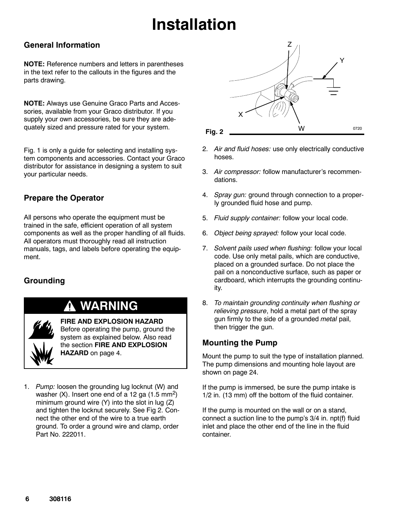# **Installation**

### **General Information**

**NOTE:** Reference numbers and letters in parentheses in the text refer to the callouts in the figures and the parts drawing.

**NOTE:** Always use Genuine Graco Parts and Accessories, available from your Graco distributor. If you supply your own accessories, be sure they are adequately sized and pressure rated for your system.

Fig. 1 is only a guide for selecting and installing system components and accessories. Contact your Graco distributor for assistance in designing a system to suit your particular needs.

### **Prepare the Operator**

All persons who operate the equipment must be trained in the safe, efficient operation of all system components as well as the proper handling of all fluids. All operators must thoroughly read all instruction manuals, tags, and labels before operating the equipment.

### **Grounding**

## **WARNING**

**FIRE AND EXPLOSION HAZARD** Before operating the pump, ground the system as explained below. Also read the section **FIRE AND EXPLOSION HAZARD** on page 4.

1. *Pump:* loosen the grounding lug locknut (W) and washer  $(X)$ . Insert one end of a 12 ga  $(1.5 \text{ mm}^2)$ minimum ground wire (Y) into the slot in lug (Z) and tighten the locknut securely. See Fig 2. Connect the other end of the wire to a true earth ground. To order a ground wire and clamp, order Part No. 222011.



- 2. *Air and fluid hoses:* use only electrically conductive hoses.
- 3. *Air compressor:* follow manufacturer's recommendations.
- 4. *Spray gun:* ground through connection to a properly grounded fluid hose and pump.
- 5. *Fluid supply container:* follow your local code.
- 6. *Object being sprayed:* follow your local code.
- 7. *Solvent pails used when flushing:* follow your local code. Use only metal pails, which are conductive, placed on a grounded surface. Do not place the pail on a nonconductive surface, such as paper or cardboard, which interrupts the grounding continuity.
- 8. *To maintain grounding continuity when flushing or relieving pressure*, hold a metal part of the spray gun firmly to the side of a grounded *metal* pail, then trigger the gun.

### **Mounting the Pump**

Mount the pump to suit the type of installation planned. The pump dimensions and mounting hole layout are shown on page 24.

If the pump is immersed, be sure the pump intake is 1/2 in. (13 mm) off the bottom of the fluid container.

If the pump is mounted on the wall or on a stand, connect a suction line to the pump's 3/4 in. npt(f) fluid inlet and place the other end of the line in the fluid container.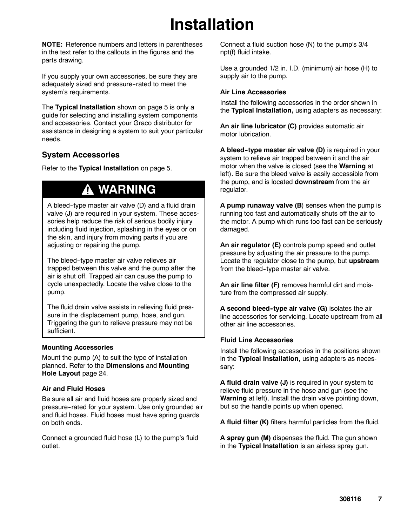# **Installation**

**NOTE:** Reference numbers and letters in parentheses in the text refer to the callouts in the figures and the parts drawing.

If you supply your own accessories, be sure they are adequately sized and pressure--rated to meet the system's requirements.

The **Typical Installation** shown on page 5 is only a guide for selecting and installing system components and accessories. Contact your Graco distributor for assistance in designing a system to suit your particular needs.

### **System Accessories**

Refer to the **Typical Installation** on page 5.

## **WARNING**

A bleed--type master air valve (D) and a fluid drain valve (J) are required in your system. These accessories help reduce the risk of serious bodily injury including fluid injection, splashing in the eyes or on the skin, and injury from moving parts if you are adjusting or repairing the pump.

The bleed--type master air valve relieves air trapped between this valve and the pump after the air is shut off. Trapped air can cause the pump to cycle unexpectedly. Locate the valve close to the pump.

The fluid drain valve assists in relieving fluid pressure in the displacement pump, hose, and gun. Triggering the gun to relieve pressure may not be sufficient.

#### **Mounting Accessories**

Mount the pump (A) to suit the type of installation planned. Refer to the **Dimensions** and **Mounting Hole Layout** page 24.

#### **Air and Fluid Hoses**

Be sure all air and fluid hoses are properly sized and pressure--rated for your system. Use only grounded air and fluid hoses. Fluid hoses must have spring guards on both ends.

Connect a grounded fluid hose (L) to the pump's fluid outlet.

Connect a fluid suction hose (N) to the pump's 3/4 npt(f) fluid intake.

Use a grounded 1/2 in. I.D. (minimum) air hose (H) to supply air to the pump.

#### **Air Line Accessories**

Install the following accessories in the order shown in the **Typical Installation,** using adapters as necessary:

**An air line lubricator (C)** provides automatic air motor lubrication.

**A bleed--type master air valve (D)** is required in your system to relieve air trapped between it and the air motor when the valve is closed (see the **Warning** at left). Be sure the bleed valve is easily accessible from the pump, and is located **downstream** from the air regulator.

**A pump runaway valve (B**) senses when the pump is running too fast and automatically shuts off the air to the motor. A pump which runs too fast can be seriously damaged.

**An air regulator (E)** controls pump speed and outlet pressure by adjusting the air pressure to the pump. Locate the regulator close to the pump, but **upstream** from the bleed-type master air valve.

**An air line filter (F)** removes harmful dirt and moisture from the compressed air supply.

**A second bleed--type air valve (G)** isolates the air line accessories for servicing. Locate upstream from all other air line accessories.

#### **Fluid Line Accessories**

Install the following accessories in the positions shown in the **Typical Installation,** using adapters as necessary:

**A fluid drain valve (J)** is required in your system to relieve fluid pressure in the hose and gun (see the **Warning** at left). Install the drain valve pointing down, but so the handle points up when opened.

**A fluid filter (K)** filters harmful particles from the fluid.

**A spray gun (M)** dispenses the fluid. The gun shown in the **Typical Installation** is an airless spray gun.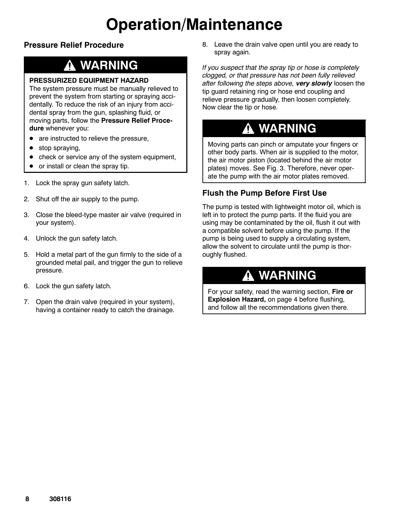# **Operation/Maintenance**

### **Pressure Relief Procedure**

## **WARNING**

### **PRESSURIZED EQUIPMENT HAZARD**

The system pressure must be manually relieved to prevent the system from starting or spraying accidentally. To reduce the risk of an injury from accidental spray from the gun, splashing fluid, or moving parts, follow the **Pressure Relief Procedure** whenever you:

- $\bullet$  are instructed to relieve the pressure,
- $\bullet$  stop spraying,
- check or service any of the system equipment,
- $\bullet$  or install or clean the spray tip.
- 1. Lock the spray gun safety latch.
- 2. Shut off the air supply to the pump.
- 3. Close the bleed-type master air valve (required in your system).
- 4. Unlock the gun safety latch.
- 5. Hold a metal part of the gun firmly to the side of a grounded metal pail, and trigger the gun to relieve pressure.
- 6. Lock the gun safety latch.
- 7. Open the drain valve (required in your system), having a container ready to catch the drainage.

8. Leave the drain valve open until you are ready to spray again.

*If you suspect that the spray tip or hose is completely clogged, or that pressure has not been fully relieved after following the steps above, very slowly* loosen the tip guard retaining ring or hose end coupling and relieve pressure gradually, then loosen completely. Now clear the tip or hose.

## **WARNING**

Moving parts can pinch or amputate your fingers or other body parts. When air is supplied to the motor, the air motor piston (located behind the air motor plates) moves. See Fig. 3. Therefore, never operate the pump with the air motor plates removed.

### **Flush the Pump Before First Use**

The pump is tested with lightweight motor oil, which is left in to protect the pump parts. If the fluid you are using may be contaminated by the oil, flush it out with a compatible solvent before using the pump. If the pump is being used to supply a circulating system, allow the solvent to circulate until the pump is thoroughly flushed.

## **WARNING**

For your safety, read the warning section, **Fire or Explosion Hazard,** on page 4 before flushing, and follow all the recommendations given there.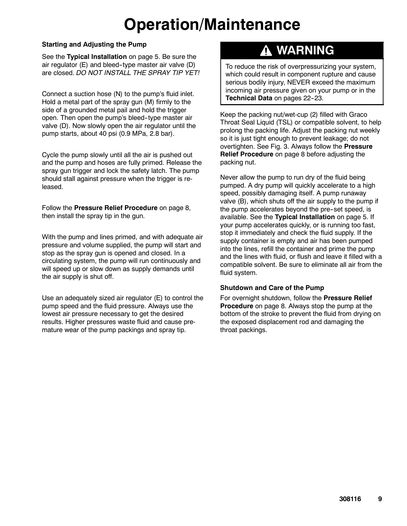# **Operation/Maintenance**

#### **Starting and Adjusting the Pump**

See the **Typical Installation** on page 5. Be sure the air regulator  $(E)$  and bleed-type master air valve  $(D)$ are closed. *DO NOT INSTALL THE SPRAY TIP YET!*

Connect a suction hose (N) to the pump's fluid inlet. Hold a metal part of the spray gun (M) firmly to the side of a grounded metal pail and hold the trigger open. Then open the pump's bleed--type master air valve (D). Now slowly open the air regulator until the pump starts, about 40 psi (0.9 MPa, 2.8 bar).

Cycle the pump slowly until all the air is pushed out and the pump and hoses are fully primed. Release the spray gun trigger and lock the safety latch. The pump should stall against pressure when the trigger is released.

Follow the **Pressure Relief Procedure** on page 8, then install the spray tip in the gun.

With the pump and lines primed, and with adequate air pressure and volume supplied, the pump will start and stop as the spray gun is opened and closed. In a circulating system, the pump will run continuously and will speed up or slow down as supply demands until the air supply is shut off.

Use an adequately sized air regulator (E) to control the pump speed and the fluid pressure. Always use the lowest air pressure necessary to get the desired results. Higher pressures waste fluid and cause premature wear of the pump packings and spray tip.

## **WARNING**

To reduce the risk of overpressurizing your system, which could result in component rupture and cause serious bodily injury, NEVER exceed the maximum incoming air pressure given on your pump or in the **Technical Data** on pages 22-23.

Keep the packing nut/wet-cup (2) filled with Graco Throat Seal Liquid (TSL) or compatible solvent, to help prolong the packing life. Adjust the packing nut weekly so it is just tight enough to prevent leakage; do not overtighten. See Fig. 3. Always follow the **Pressure Relief Procedure** on page 8 before adjusting the packing nut.

Never allow the pump to run dry of the fluid being pumped. A dry pump will quickly accelerate to a high speed, possibly damaging itself. A pump runaway valve (B), which shuts off the air supply to the pump if the pump accelerates beyond the pre-set speed, is available. See the **Typical Installation** on page 5. If your pump accelerates quickly, or is running too fast, stop it immediately and check the fluid supply. If the supply container is empty and air has been pumped into the lines, refill the container and prime the pump and the lines with fluid, or flush and leave it filled with a compatible solvent. Be sure to eliminate all air from the fluid system.

#### **Shutdown and Care of the Pump**

For overnight shutdown, follow the **Pressure Relief Procedure** on page 8. Always stop the pump at the bottom of the stroke to prevent the fluid from drying on the exposed displacement rod and damaging the throat packings.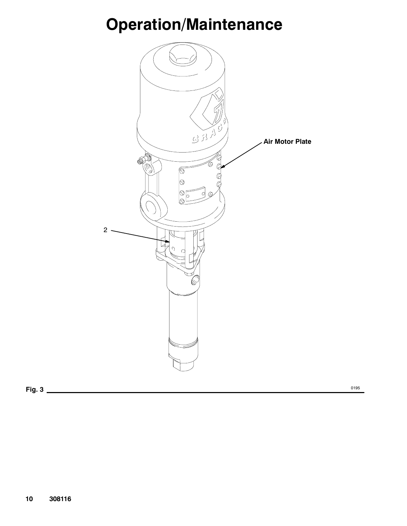# **Operation/Maintenance**

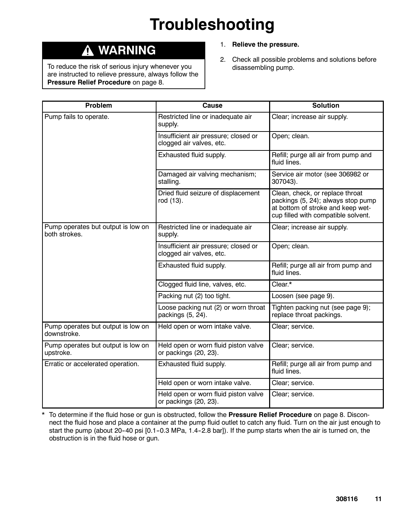# **Troubleshooting**

## **WARNING**

To reduce the risk of serious injury whenever you are instructed to relieve pressure, always follow the **Pressure Relief Procedure** on page 8.

- 1. **Relieve the pressure.**
- 2. Check all possible problems and solutions before disassembling pump.

| Problem                                             | Cause                                                            | <b>Solution</b>                                                                                                                                   |
|-----------------------------------------------------|------------------------------------------------------------------|---------------------------------------------------------------------------------------------------------------------------------------------------|
| Pump fails to operate.                              | Restricted line or inadequate air<br>supply.                     | Clear; increase air supply.                                                                                                                       |
|                                                     | Insufficient air pressure; closed or<br>clogged air valves, etc. | Open; clean.                                                                                                                                      |
|                                                     | Exhausted fluid supply.                                          | Refill; purge all air from pump and<br>fluid lines.                                                                                               |
|                                                     | Damaged air valving mechanism;<br>stalling.                      | Service air motor (see 306982 or<br>307043).                                                                                                      |
|                                                     | Dried fluid seizure of displacement<br>rod (13).                 | Clean, check, or replace throat<br>packings (5, 24); always stop pump<br>at bottom of stroke and keep wet-<br>cup filled with compatible solvent. |
| Pump operates but output is low on<br>both strokes. | Restricted line or inadequate air<br>supply.                     | Clear; increase air supply.                                                                                                                       |
|                                                     | Insufficient air pressure; closed or<br>clogged air valves, etc. | Open; clean.                                                                                                                                      |
|                                                     | Exhausted fluid supply.                                          | Refill; purge all air from pump and<br>fluid lines.                                                                                               |
|                                                     | Clogged fluid line, valves, etc.                                 | Clear.*                                                                                                                                           |
|                                                     | Packing nut (2) too tight.                                       | Loosen (see page 9).                                                                                                                              |
|                                                     | Loose packing nut (2) or worn throat<br>packings (5, 24).        | Tighten packing nut (see page 9);<br>replace throat packings.                                                                                     |
| Pump operates but output is low on<br>downstroke.   | Held open or worn intake valve.                                  | Clear; service.                                                                                                                                   |
| Pump operates but output is low on<br>upstroke.     | Held open or worn fluid piston valve<br>or packings (20, 23).    | Clear; service.                                                                                                                                   |
| Erratic or accelerated operation.                   | Exhausted fluid supply.                                          | Refill; purge all air from pump and<br>fluid lines.                                                                                               |
|                                                     | Held open or worn intake valve.                                  | Clear; service.                                                                                                                                   |
|                                                     | Held open or worn fluid piston valve<br>or packings (20, 23).    | Clear; service.                                                                                                                                   |

\* To determine if the fluid hose or gun is obstructed, follow the **Pressure Relief Procedure** on page 8. Disconnect the fluid hose and place a container at the pump fluid outlet to catch any fluid. Turn on the air just enough to start the pump (about 20-40 psi [0.1-0.3 MPa, 1.4-2.8 bar]). If the pump starts when the air is turned on, the obstruction is in the fluid hose or gun.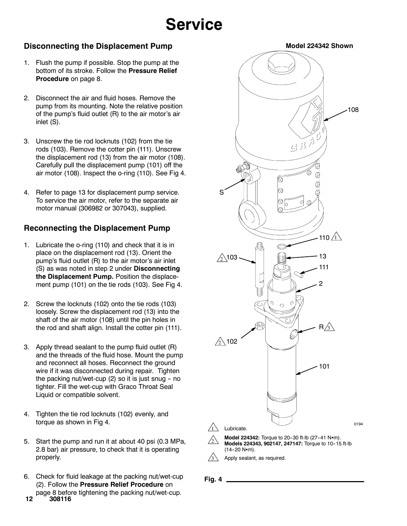## **Service**

### **Disconnecting the Displacement Pump**

- 1. Flush the pump if possible. Stop the pump at the bottom of its stroke. Follow the **Pressure Relief Procedure** on page 8.
- 2. Disconnect the air and fluid hoses. Remove the pump from its mounting. Note the relative position of the pump's fluid outlet (R) to the air motor's air inlet (S).
- 3. Unscrew the tie rod locknuts (102) from the tie rods (103). Remove the cotter pin (111). Unscrew the displacement rod (13) from the air motor (108). Carefully pull the displacement pump (101) off the air motor (108). Inspect the o-ring (110). See Fig 4.
- 4. Refer to page 13 for displacement pump service. To service the air motor, refer to the separate air motor manual (306982 or 307043), supplied.

### **Reconnecting the Displacement Pump**

- 1. Lubricate the o-ring (110) and check that it is in place on the displacement rod (13). Orient the pump's fluid outlet (R) to the air motor's air inlet (S) as was noted in step 2 under **Disconnecting the Displacement Pump.** Position the displacement pump (101) on the tie rods (103). See Fig 4.
- 2. Screw the locknuts (102) onto the tie rods (103) loosely. Screw the displacement rod (13) into the shaft of the air motor (108) until the pin holes in the rod and shaft align. Install the cotter pin (111).
- 3. Apply thread sealant to the pump fluid outlet (R) and the threads of the fluid hose. Mount the pump and reconnect all hoses. Reconnect the ground wire if it was disconnected during repair. Tighten the packing nut/wet-cup  $(2)$  so it is just snug - no tighter. Fill the wet-cup with Graco Throat Seal Liquid or compatible solvent.
- 4. Tighten the tie rod locknuts (102) evenly, and torque as shown in Fig 4.
- 5. Start the pump and run it at about 40 psi (0.3 MPa, 2.8 bar) air pressure, to check that it is operating properly.
- 6. Check for fluid leakage at the packing nut/wet-cup (2). Follow the **Pressure Relief Procedure** on page 8 before tightening the packing nut/wet-cup.



**Fig. 4**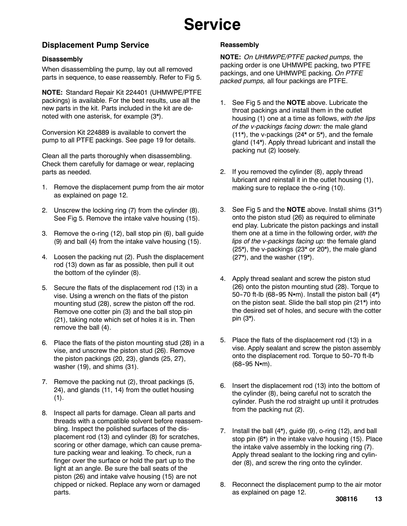## **Service**

### **Displacement Pump Service**

#### **Disassembly**

When disassembling the pump, lay out all removed parts in sequence, to ease reassembly. Refer to Fig 5.

**NOTE:** Standard Repair Kit 224401 (UHMWPE/PTFE packings) is available. For the best results, use all the new parts in the kit. Parts included in the kit are denoted with one asterisk, for example (3\*).

Conversion Kit 224889 is available to convert the pump to all PTFE packings. See page 19 for details.

Clean all the parts thoroughly when disassembling. Check them carefully for damage or wear, replacing parts as needed.

- 1. Remove the displacement pump from the air motor as explained on page 12.
- 2. Unscrew the locking ring (7) from the cylinder (8). See Fig 5. Remove the intake valve housing (15).
- 3. Remove the o-ring (12), ball stop pin (6), ball guide (9) and ball (4) from the intake valve housing (15).
- 4. Loosen the packing nut (2). Push the displacement rod (13) down as far as possible, then pull it out the bottom of the cylinder (8).
- 5. Secure the flats of the displacement rod (13) in a vise. Using a wrench on the flats of the piston mounting stud (28), screw the piston off the rod. Remove one cotter pin (3) and the ball stop pin (21), taking note which set of holes it is in. Then remove the ball (4).
- 6. Place the flats of the piston mounting stud (28) in a vise, and unscrew the piston stud (26). Remove the piston packings (20, 23), glands (25, 27), washer (19), and shims (31).
- 7. Remove the packing nut (2), throat packings (5, 24), and glands (11, 14) from the outlet housing  $(1).$
- 8. Inspect all parts for damage. Clean all parts and threads with a compatible solvent before reassembling. Inspect the polished surfaces of the displacement rod (13) and cylinder (8) for scratches, scoring or other damage, which can cause premature packing wear and leaking. To check, run a finger over the surface or hold the part up to the light at an angle. Be sure the ball seats of the piston (26) and intake valve housing (15) are not chipped or nicked. Replace any worn or damaged parts.

#### **Reassembly**

**NOTE:** *On UHMWPE/PTFE packed pumps,* the packing order is one UHMWPE packing, two PTFE packings, and one UHMWPE packing. *On PTFE packed pumps,* all four packings are PTFE.

- 1. See Fig 5 and the **NOTE** above. Lubricate the throat packings and install them in the outlet housing (1) one at a time as follows, *with the lips of the v-packings facing down:* the male gland (11\*), the v-packings (24\* or 5\*), and the female gland (14\*). Apply thread lubricant and install the packing nut (2) loosely.
- 2. If you removed the cylinder (8), apply thread lubricant and reinstall it in the outlet housing (1), making sure to replace the o-ring (10).
- 3. See Fig 5 and the **NOTE** above. Install shims (31\*) onto the piston stud (26) as required to eliminate end play. Lubricate the piston packings and install them one at a time in the following order, *with the lips of the v-packings facing up:* the female gland (25\*), the v-packings (23\* or 20\*), the male gland (27\*), and the washer (19\*).
- 4. Apply thread sealant and screw the piston stud (26) onto the piston mounting stud (28). Torque to 50-70 ft-lb (68-95 N•m). Install the piston ball  $(4^*)$ on the piston seat. Slide the ball stop pin (21\*) into the desired set of holes, and secure with the cotter pin (3\*).
- 5. Place the flats of the displacement rod (13) in a vise. Apply sealant and screw the piston assembly onto the displacement rod. Torque to 50-70 ft-lb  $(68-95 N·m)$ .
- 6. Insert the displacement rod (13) into the bottom of the cylinder (8), being careful not to scratch the cylinder. Push the rod straight up until it protrudes from the packing nut (2).
- 7. Install the ball (4\*), guide (9), o-ring (12), and ball stop pin (6\*) in the intake valve housing (15). Place the intake valve assembly in the locking ring (7). Apply thread sealant to the locking ring and cylinder (8), and screw the ring onto the cylinder.
- 8. Reconnect the displacement pump to the air motor as explained on page 12.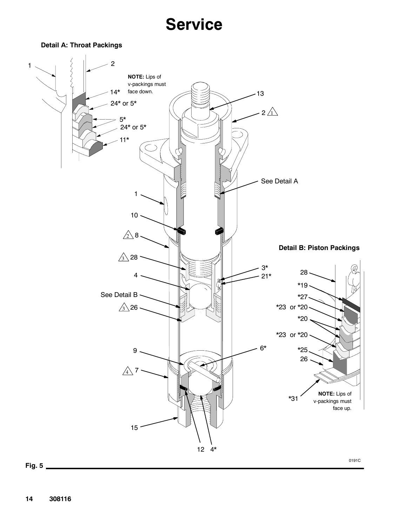## **Service**

**Detail A: Throat Packings**



**14 308116**

**Fig. 5**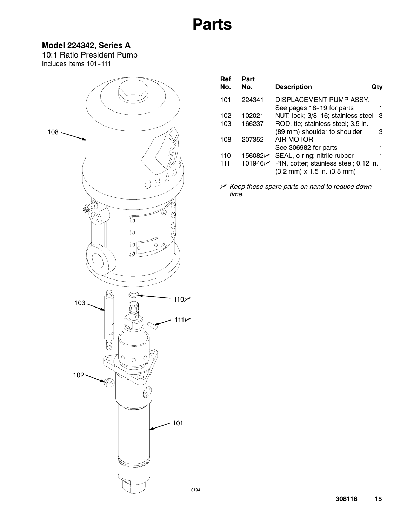### **Model 224342, Series A**

10:1 Ratio President Pump Includes items 101-111



| Ref<br>No. | Part<br>No. | <b>Description</b>                                         |   |
|------------|-------------|------------------------------------------------------------|---|
| 101        | 224341      | DISPLACEMENT PUMP ASSY.<br>See pages 18-19 for parts       |   |
| 102        | 102021      | NUT, lock; 3/8-16; stainless steel                         | 3 |
|            |             |                                                            |   |
| 103        | 166237      | ROD, tie; stainless steel; 3.5 in.                         |   |
|            |             | (89 mm) shoulder to shoulder                               | З |
| 108        | 207352      | AIR MOTOR                                                  |   |
|            |             | See 306982 for parts                                       |   |
| 110        |             | 156082∠ SEAL, o-ring; nitrile rubber                       |   |
| 111        |             | 101946∠ PIN, cotter; stainless steel; 0.12 in.             |   |
|            |             | $(3.2 \text{ mm}) \times 1.5 \text{ in.} (3.8 \text{ mm})$ |   |
|            |             |                                                            |   |

n *Keep these spare parts on hand to reduce down time.*

0194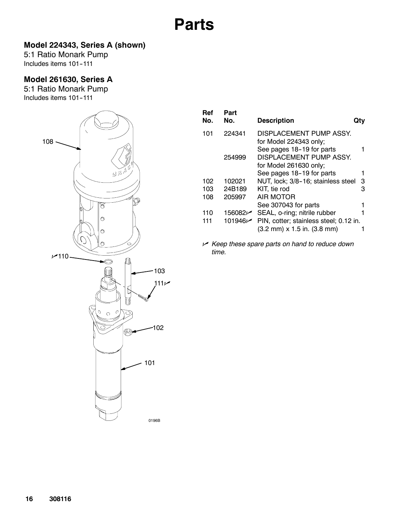### **Model 224343, Series A (shown)**

5:1 Ratio Monark Pump Includes items 101-111

### **Model 261630, Series A**

5:1 Ratio Monark Pump Includes items 101-111



| Ref<br>No. | Part<br>No. | <b>Description</b>                                                                                   |   |
|------------|-------------|------------------------------------------------------------------------------------------------------|---|
| 101        | 224341      | DISPLACEMENT PUMP ASSY.<br>for Model 224343 only;<br>See pages 18-19 for parts                       |   |
|            | 254999      | DISPLACEMENT PUMP ASSY.<br>for Model 261630 only;                                                    |   |
|            |             | See pages 18-19 for parts                                                                            |   |
| 102        | 102021      | NUT, lock; 3/8-16; stainless steel                                                                   | 3 |
| 103        | 24B189      | KIT, tie rod                                                                                         | з |
| 108        | 205997      | AIR MOTOR                                                                                            |   |
|            |             | See 307043 for parts                                                                                 |   |
| 110        |             | 156082 SEAL, o-ring; nitrile rubber                                                                  |   |
| 111        | 101946      | PIN, cotter; stainless steel; 0.12 in.<br>$(3.2 \text{ mm}) \times 1.5 \text{ in.} (3.8 \text{ mm})$ |   |

n *Keep these spare parts on hand to reduce down time.*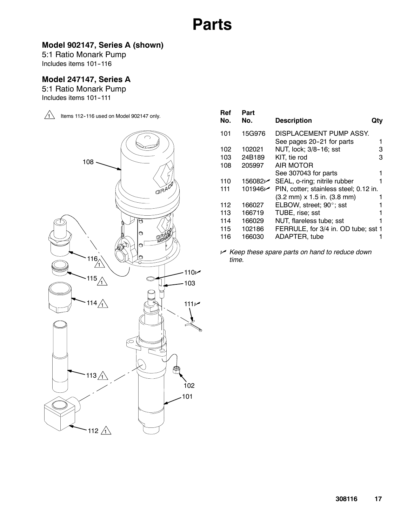### **Model 902147, Series A (shown)**

5:1 Ratio Monark Pump Includes items 101--116

### **Model 247147, Series A**

5:1 Ratio Monark Pump Includes items 101-111



| Ref<br>No. | Part<br>No. | <b>Description</b>                                         |   |
|------------|-------------|------------------------------------------------------------|---|
| 101        | 15G976      | DISPLACEMENT PUMP ASSY.                                    |   |
|            |             | See pages 20-21 for parts                                  |   |
| 102        | 102021      | NUT, lock; 3/8-16; sst                                     | з |
| 103        | 24B189      | KIT, tie rod                                               | з |
| 108        | 205997      | AIR MOTOR                                                  |   |
|            |             | See 307043 for parts                                       |   |
| 110        | 156082      | SEAL, o-ring; nitrile rubber                               |   |
| 111        | 101946      | PIN, cotter; stainless steel; 0.12 in.                     |   |
|            |             | $(3.2 \text{ mm}) \times 1.5 \text{ in.} (3.8 \text{ mm})$ |   |
| 112        | 166027      | ELBOW, street; 90°; sst                                    |   |
| 113        | 166719      | TUBE, rise; sst                                            |   |
| 114        | 166029      | NUT, flareless tube; sst                                   |   |
| 115        | 102186      | FERRULE, for 3/4 in. OD tube; sst 1                        |   |
| 116        | 166030      | ADAPTER, tube                                              |   |
|            |             |                                                            |   |

n *Keep these spare parts on hand to reduce down time.*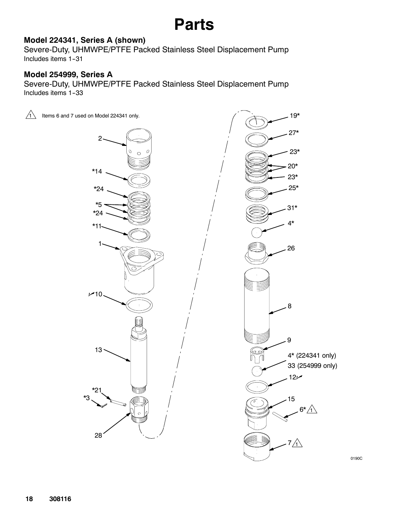### **Model 224341, Series A (shown)**

Severe-Duty, UHMWPE/PTFE Packed Stainless Steel Displacement Pump Includes items 1-31

### **Model 254999, Series A**

Severe-Duty, UHMWPE/PTFE Packed Stainless Steel Displacement Pump Includes items 1-33



0190C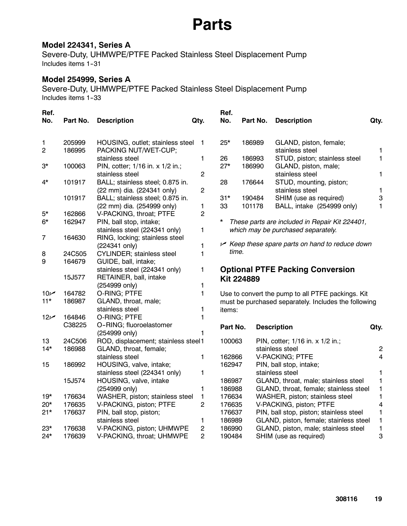### **Model 224341, Series A**

Severe-Duty, UHMWPE/PTFE Packed Stainless Steel Displacement Pump Includes items 1--31

### **Model 254999, Series A**

Severe-Duty, UHMWPE/PTFE Packed Stainless Steel Displacement Pump Includes items 1-33

| Ref.<br>No.                 | Part No.         | <b>Description</b>                                       | Qty.           | Ref.<br>No. | Part No.          | <b>Description</b>                                                             | Qty.              |
|-----------------------------|------------------|----------------------------------------------------------|----------------|-------------|-------------------|--------------------------------------------------------------------------------|-------------------|
| $\mathbf{1}$<br>$\mathbf 2$ | 205999<br>186995 | HOUSING, outlet; stainless steel<br>PACKING NUT/WET-CUP; | 1              | $25*$       | 186989            | GLAND, piston, female;<br>stainless steel                                      | 1                 |
|                             |                  | stainless steel                                          | 1              | 26          | 186993            | STUD, piston; stainless steel                                                  | 1                 |
| $3^{\star}$                 | 100063           | PIN, cotter; 1/16 in. x 1/2 in.;                         |                | $27*$       | 186990            | GLAND, piston, male;                                                           |                   |
| 4*                          | 101917           | stainless steel<br>BALL; stainless steel; 0.875 in.      | 2              | 28          | 176644            | stainless steel<br>STUD, mounting, piston;                                     | 1                 |
|                             |                  | (22 mm) dia. (224341 only)                               | 2              |             |                   | stainless steel                                                                | 1                 |
|                             | 101917           | BALL; stainless steel; 0.875 in.                         |                | $31*$       | 190484            | SHIM (use as required)                                                         | 3                 |
|                             |                  | (22 mm) dia. (254999 only)                               | 1              | 33          | 101178            | BALL, intake (254999 only)                                                     | $\mathbf{1}$      |
| $5^{\star}$                 | 162866           | V-PACKING, throat; PTFE                                  | 2              |             |                   |                                                                                |                   |
| $6*$                        | 162947           | PIN, ball stop, intake;                                  |                | $^\star$    |                   | These parts are included in Repair Kit 224401,                                 |                   |
|                             |                  | stainless steel (224341 only)                            | 1              |             |                   | which may be purchased separately.                                             |                   |
| $\overline{7}$              | 164630           | RING, locking; stainless steel                           |                |             |                   |                                                                                |                   |
|                             |                  | (224341 only)                                            | 1              | time.       |                   | $\vee$ Keep these spare parts on hand to reduce down                           |                   |
| 8                           | 24C505           | <b>CYLINDER; stainless steel</b>                         | 1              |             |                   |                                                                                |                   |
| 9                           | 164679           | GUIDE, ball, intake;                                     |                |             |                   |                                                                                |                   |
|                             | 15J577           | stainless steel (224341 only)<br>RETAINER, ball, intake  | 1              |             |                   | <b>Optional PTFE Packing Conversion</b>                                        |                   |
|                             |                  | (254999 only)                                            | 1              |             | <b>Kit 224889</b> |                                                                                |                   |
| 10 <sub>k</sub>             | 164782           | O-RING; PTFE                                             | $\mathbf{1}$   |             |                   | Use to convert the pump to all PTFE packings. Kit                              |                   |
| $11*$                       | 186987           | GLAND, throat, male;                                     |                |             |                   | must be purchased separately. Includes the following                           |                   |
|                             |                  | stainless steel                                          | 1              | items:      |                   |                                                                                |                   |
| 12 <sub>k</sub>             | 164846           | O-RING; PTFE                                             | 1              |             |                   |                                                                                |                   |
|                             | C38225           | O-RING; fluoroelastomer                                  |                | Part No.    |                   | <b>Description</b>                                                             | Qty.              |
|                             |                  | (254999 only)                                            | 1              |             |                   |                                                                                |                   |
| 13                          | 24C506           | ROD, displacement; stainless steel1                      |                | 100063      |                   | PIN, cotter; 1/16 in. x 1/2 in.;                                               |                   |
| $14*$                       | 186988           | GLAND, throat, female;                                   |                |             |                   | stainless steel                                                                | $\overline{2}$    |
|                             |                  | stainless steel                                          | 1              | 162866      |                   | <b>V-PACKING; PTFE</b>                                                         | 4                 |
| 15                          | 186992           | HOUSING, valve, intake;                                  |                | 162947      |                   | PIN, ball stop, intake;                                                        |                   |
|                             | 15J574           | stainless steel (224341 only)                            | 1              | 186987      |                   | stainless steel                                                                | 1                 |
|                             |                  | HOUSING, valve, intake<br>(254999 only)                  | 1              | 186988      |                   | GLAND, throat, male; stainless steel<br>GLAND, throat, female; stainless steel | 1<br>$\mathbf{1}$ |
| $19*$                       | 176634           | WASHER, piston; stainless steel                          | $\mathbf{1}$   | 176634      |                   | WASHER, piston; stainless steel                                                | 1                 |
| $20*$                       | 176635           | V-PACKING, piston; PTFE                                  | 2              | 176635      |                   | V-PACKING, piston; PTFE                                                        | 4                 |
| $21*$                       | 176637           | PIN, ball stop, piston;                                  |                | 176637      |                   | PIN, ball stop, piston; stainless steel                                        | 1                 |
|                             |                  | stainless steel                                          | 1              | 186989      |                   | GLAND, piston, female; stainless steel                                         | $\mathbf{1}$      |
| $23*$                       |                  |                                                          |                |             |                   |                                                                                |                   |
|                             | 176638           | V-PACKING, piston; UHMWPE                                | $\overline{c}$ | 186990      |                   | GLAND, piston, male; stainless steel                                           | 1                 |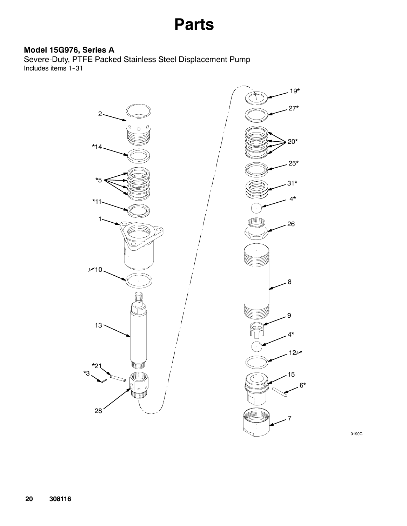### **Model 15G976, Series A**

Severe-Duty, PTFE Packed Stainless Steel Displacement Pump Includes items 1-31



0190C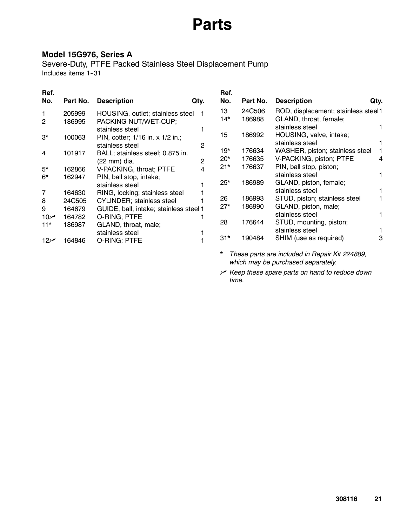### **Model 15G976, Series A**

Severe-Duty, PTFE Packed Stainless Steel Displacement Pump Includes items 1-31

### **Ref.**

| Ref.<br>No.              | Part No.         | <b>Description</b>                                | Qty. | Ref.<br>No. | Part No. | <b>Description</b>                                 | Qty. |
|--------------------------|------------------|---------------------------------------------------|------|-------------|----------|----------------------------------------------------|------|
|                          | 205999           | HOUSING, outlet; stainless steel                  |      | 13          | 24C506   | ROD, displacement; stainless steel1                |      |
| $\overline{2}$           | 186995           | PACKING NUT/WET-CUP;<br>stainless steel           |      | 14*         | 186988   | GLAND, throat, female;<br>stainless steel          |      |
| $3^{\star}$              | 100063           | PIN, cotter; 1/16 in. x 1/2 in.;                  |      | 15          | 186992   | HOUSING, valve, intake;                            |      |
|                          |                  | stainless steel                                   | 2    | 19*         | 176634   | stainless steel<br>WASHER, piston; stainless steel |      |
| 4                        | 101917           | BALL; stainless steel; 0.875 in.<br>(22 mm) dia.  | 2    | $20*$       | 176635   | V-PACKING, piston; PTFE                            | 4    |
| $5*$                     | 162866           | V-PACKING, throat; PTFE                           | 4    | $21*$       | 176637   | PIN, ball stop, piston;                            |      |
| $6*$                     | 162947           | PIN, ball stop, intake;                           |      | $25*$       | 186989   | stainless steel<br>GLAND, piston, female;          |      |
| 7                        | 164630           | stainless steel<br>RING, locking; stainless steel |      |             |          | stainless steel                                    |      |
| 8                        | 24C505           | <b>CYLINDER; stainless steel</b>                  |      | 26          | 186993   | STUD, piston; stainless steel                      |      |
| 9                        | 164679           | GUIDE, ball, intake; stainless steel 1            |      | $27*$       | 186990   | GLAND, piston, male;<br>stainless steel            |      |
| 10 <sub>k</sub><br>$11*$ | 164782<br>186987 | O-RING; PTFE<br>GLAND, throat, male;              |      | 28          | 176644   | STUD, mounting, piston;                            |      |
|                          |                  | stainless steel                                   |      |             |          | stainless steel                                    |      |
| 12 <sub>k</sub>          | 64846            | O-RING; PTFE                                      |      | $31*$       | 190484   | SHIM (use as required)                             | 3    |

*\* These parts are included in Repair Kit 224889, which may be purchased separately.*

n *Keep these spare parts on hand to reduce down time.*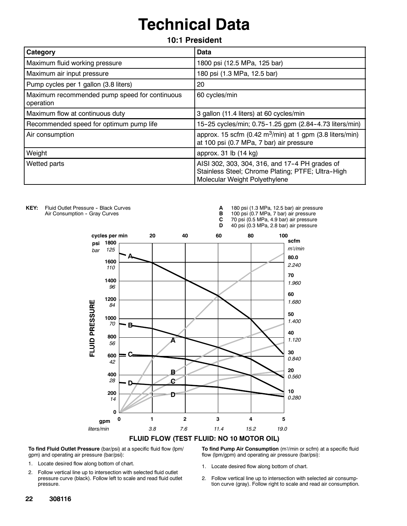# **Technical Data**

**10:1 President**

| Category                                                   | Data                                                                                                                                 |
|------------------------------------------------------------|--------------------------------------------------------------------------------------------------------------------------------------|
| Maximum fluid working pressure                             | 1800 psi (12.5 MPa, 125 bar)                                                                                                         |
| Maximum air input pressure                                 | 180 psi (1.3 MPa, 12.5 bar)                                                                                                          |
| Pump cycles per 1 gallon (3.8 liters)                      | 20                                                                                                                                   |
| Maximum recommended pump speed for continuous<br>operation | 60 cycles/min                                                                                                                        |
| Maximum flow at continuous duty                            | 3 gallon (11.4 liters) at 60 cycles/min                                                                                              |
| Recommended speed for optimum pump life                    | 15-25 cycles/min; 0.75-1.25 gpm (2.84-4.73 liters/min)                                                                               |
| Air consumption                                            | approx. 15 scfm (0.42 m <sup>3</sup> /min) at 1 gpm (3.8 liters/min)<br>at 100 psi (0.7 MPa, 7 bar) air pressure                     |
| Weight                                                     | approx. 31 lb (14 kg)                                                                                                                |
| Wetted parts                                               | AISI 302, 303, 304, 316, and 17-4 PH grades of<br>Stainless Steel; Chrome Plating; PTFE; Ultra-High<br>Molecular Weight Polyethylene |

KEY: Fluid Outlet Pressure - Black Curves **A** 180 psi (1.3 MPa, 12.5 bar) air pressure Air Consumption - Gray Curves **B** 100 psi (0.7 MPa, 7 bar) air pressure<br>**C** 70 psi (0.5 MPa, 4.9 bar) air pressure **C** 70 psi (0.5 MPa, 4.9 bar) air pressure<br>**D** 40 psi (0.3 MPa, 2.8 bar) air pressure **D** 40 psi (0.3 MPa, 2.8 bar) air pressure **cycles per min 20 40 60 80 100scfm 1800 psi** *m*#*/min 125 bar* **A 80.0 1600** *2.240 110* **70 1400** *1.960 96* **60 1200** FLUID PRESSURE *1.680 84* **50 1000** *1.400 70* **B 40 800 A** *1.120 56* **30 C 600** *0.840 42* **20 B 400** *0.560 28* **C D 10 200 D** *0.280 14* **0 012345 gpm** *liters/min 3.8 7.6 11.4 15.2 19.0* **FLUID FLOW (TEST FLUID: NO 10 MOTOR OIL)**

**To find Fluid Outlet Pressure** (bar/psi) at a specific fluid flow (lpm/ gpm) and operating air pressure (bar/psi):

- 1. Locate desired flow along bottom of chart.
- 2. Follow vertical line up to intersection with selected fluid outlet pressure curve (black). Follow left to scale and read fluid outlet pressure.

**To find Pump Air Consumption** (m3/min or scfm) at a specific fluid flow (lpm/gpm) and operating air pressure (bar/psi):

- 1. Locate desired flow along bottom of chart.
- 2. Follow vertical line up to intersection with selected air consumption curve (gray). Follow right to scale and read air consumption.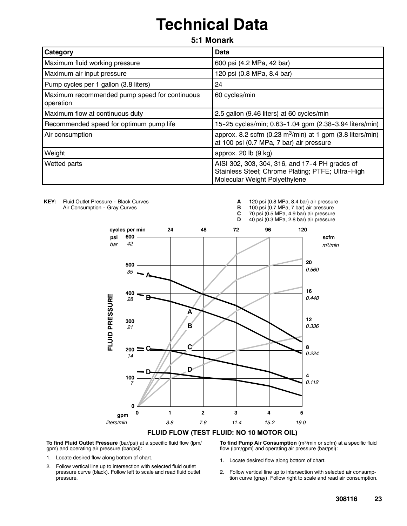# **Technical Data**

**5:1 Monark**

| Category                                                   | <b>Data</b>                                                                                                                          |
|------------------------------------------------------------|--------------------------------------------------------------------------------------------------------------------------------------|
| Maximum fluid working pressure                             | 600 psi (4.2 MPa, 42 bar)                                                                                                            |
| Maximum air input pressure                                 | 120 psi (0.8 MPa, 8.4 bar)                                                                                                           |
| Pump cycles per 1 gallon (3.8 liters)                      | 24                                                                                                                                   |
| Maximum recommended pump speed for continuous<br>operation | 60 cycles/min                                                                                                                        |
| Maximum flow at continuous duty                            | 2.5 gallon (9.46 liters) at 60 cycles/min                                                                                            |
| Recommended speed for optimum pump life                    | 15-25 cycles/min; 0.63-1.04 gpm (2.38-3.94 liters/min)                                                                               |
| Air consumption                                            | approx. 8.2 scfm (0.23 m <sup>3</sup> /min) at 1 gpm (3.8 liters/min)<br>at 100 psi (0.7 MPa, 7 bar) air pressure                    |
| Weight                                                     | approx. 20 lb (9 kg)                                                                                                                 |
| Wetted parts                                               | AISI 302, 303, 304, 316, and 17-4 PH grades of<br>Stainless Steel; Chrome Plating; PTFE; Ultra-High<br>Molecular Weight Polyethylene |

KEY: Fluid Outlet Pressure - Black Curves Air Consumption - Gray Curves

**A** 120 psi (0.8 MPa, 8.4 bar) air pressure

100 psi (0.7 MPa, 7 bar) air pressure

**C** 70 psi (0.5 MPa, 4.9 bar) air pressure 40 psi (0.3 MPa, 2.8 bar) air pressure



**FLUID FLOW (TEST FLUID: NO 10 MOTOR OIL)**

**To find Fluid Outlet Pressure** (bar/psi) at a specific fluid flow (lpm/ gpm) and operating air pressure (bar/psi):

- 1. Locate desired flow along bottom of chart.
- 2. Follow vertical line up to intersection with selected fluid outlet pressure curve (black). Follow left to scale and read fluid outlet pressure.

**To find Pump Air Consumption** (m3/min or scfm) at a specific fluid flow (lpm/gpm) and operating air pressure (bar/psi):

- 1. Locate desired flow along bottom of chart.
- 2. Follow vertical line up to intersection with selected air consumption curve (gray). Follow right to scale and read air consumption.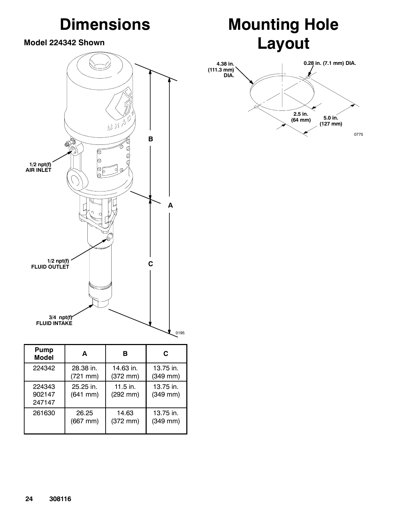# **Dimensions**

### **Model 224342 Shown**







| Pump<br><b>Model</b>       | A                          | в                                  | C                          |
|----------------------------|----------------------------|------------------------------------|----------------------------|
| 224342                     | 28.38 in.                  | 14.63 in.                          | 13.75 in.                  |
|                            | (721 mm)                   | $(372 \text{ mm})$                 | (349 mm)                   |
| 224343<br>902147<br>247147 | 25.25 in.<br>$(641$ mm $)$ | $11.5$ in.<br>$(292 \, \text{mm})$ | 13.75 in.<br>$(349$ mm $)$ |
| 261630                     | 26.25                      | 14.63                              | 13.75 in.                  |
|                            | (667 mm)                   | $(372 \, \text{mm})$               | (349 mm)                   |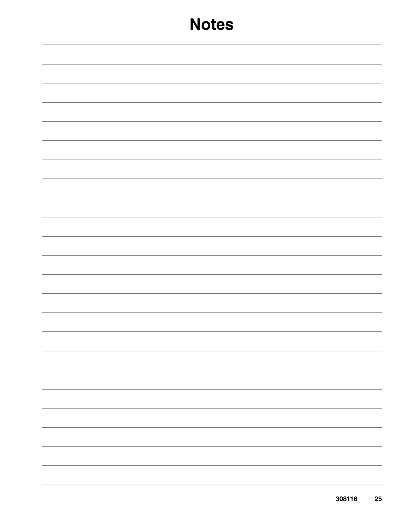## **Notes**